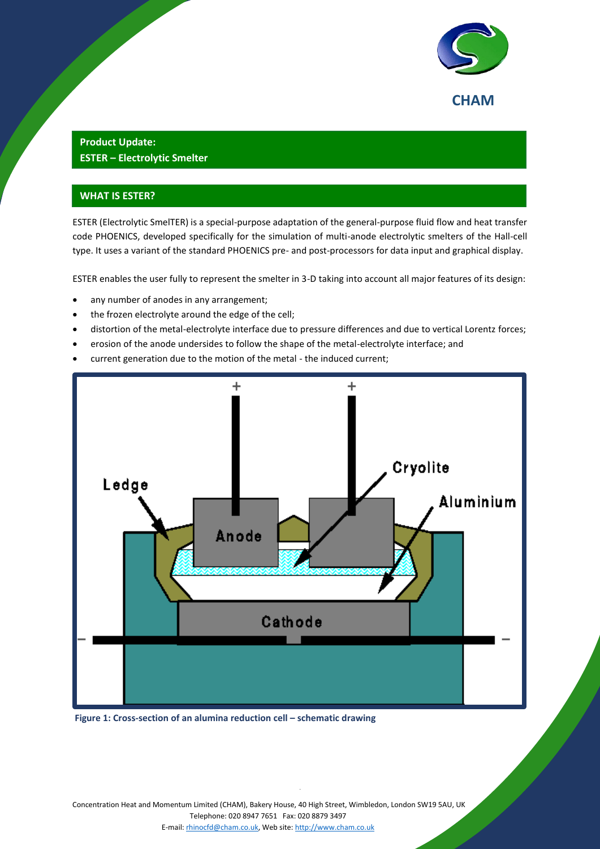

## **Product Update: ESTER – Electrolytic Smelter**

## **WHAT IS ESTER?**

ESTER (Electrolytic SmelTER) is a special-purpose adaptation of the general-purpose fluid flow and heat transfer code PHOENICS, developed specifically for the simulation of multi-anode electrolytic smelters of the Hall-cell type. It uses a variant of the standard PHOENICS pre- and post-processors for data input and graphical display.

ESTER enables the user fully to represent the smelter in 3-D taking into account all major features of its design:

- any number of anodes in any arrangement;
- the frozen electrolyte around the edge of the cell;
- distortion of the metal-electrolyte interface due to pressure differences and due to vertical Lorentz forces;
- erosion of the anode undersides to follow the shape of the metal-electrolyte interface; and
- current generation due to the motion of the metal the induced current;



**Figure 1: Cross-section of an alumina reduction cell – schematic drawing** 

Concentration Heat and Momentum Limited (CHAM), Bakery House, 40 High Street, Wimbledon, London SW19 5AU, UK Telephone: 020 8947 7651 Fax: 020 8879 3497 E-mail[: rhinocfd@cham.co.uk,](mailto:rhinocfd@cham.co.uk) Web site[: http://www.cham.co.uk](http://www.cham.co.uk/)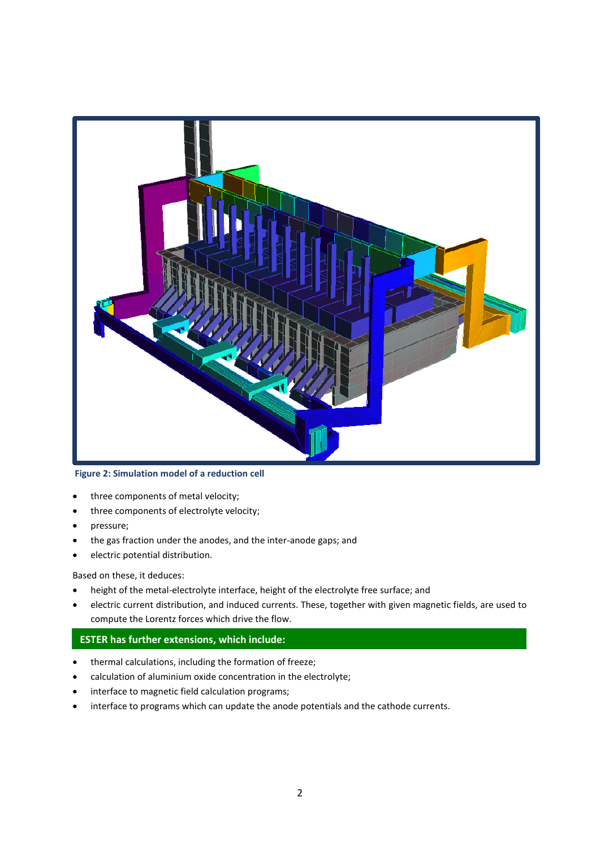

**Figure 2: Simulation model of a reduction cell**

- three components of metal velocity;
- three components of electrolyte velocity;
- pressure;
- the gas fraction under the anodes, and the inter-anode gaps; and
- electric potential distribution.

Based on these, it deduces:

- height of the metal-electrolyte interface, height of the electrolyte free surface; and
- electric current distribution, and induced currents. These, together with given magnetic fields, are used to compute the Lorentz forces which drive the flow.

## **ESTER has further extensions, which include:**

- thermal calculations, including the formation of freeze;
- calculation of aluminium oxide concentration in the electrolyte;
- interface to magnetic field calculation programs;
- interface to programs which can update the anode potentials and the cathode currents.